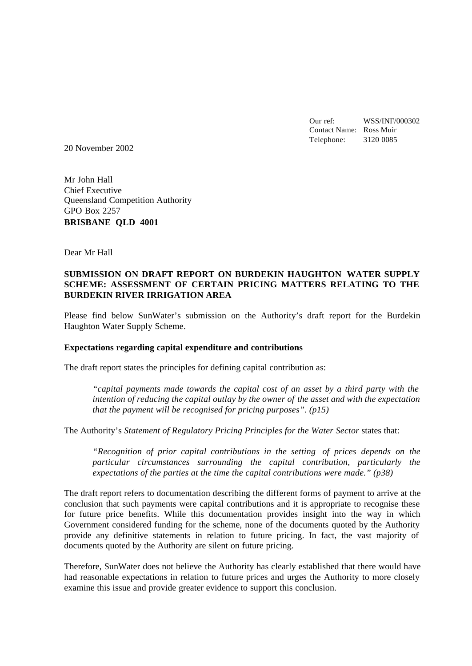Our ref: WSS/INF/000302 Contact Name: Ross Muir Telephone: 3120 0085

20 November 2002

Mr John Hall Chief Executive Queensland Competition Authority GPO Box 2257 **BRISBANE QLD 4001**

Dear Mr Hall

#### **SUBMISSION ON DRAFT REPORT ON BURDEKIN HAUGHTON WATER SUPPLY SCHEME: ASSESSMENT OF CERTAIN PRICING MATTERS RELATING TO THE BURDEKIN RIVER IRRIGATION AREA**

Please find below SunWater's submission on the Authority's draft report for the Burdekin Haughton Water Supply Scheme.

#### **Expectations regarding capital expenditure and contributions**

The draft report states the principles for defining capital contribution as:

*"capital payments made towards the capital cost of an asset by a third party with the intention of reducing the capital outlay by the owner of the asset and with the expectation that the payment will be recognised for pricing purposes". (p15)*

The Authority's *Statement of Regulatory Pricing Principles for the Water Sector* states that:

*"Recognition of prior capital contributions in the setting of prices depends on the particular circumstances surrounding the capital contribution, particularly the expectations of the parties at the time the capital contributions were made." (p38)*

The draft report refers to documentation describing the different forms of payment to arrive at the conclusion that such payments were capital contributions and it is appropriate to recognise these for future price benefits. While this documentation provides insight into the way in which Government considered funding for the scheme, none of the documents quoted by the Authority provide any definitive statements in relation to future pricing. In fact, the vast majority of documents quoted by the Authority are silent on future pricing.

Therefore, SunWater does not believe the Authority has clearly established that there would have had reasonable expectations in relation to future prices and urges the Authority to more closely examine this issue and provide greater evidence to support this conclusion.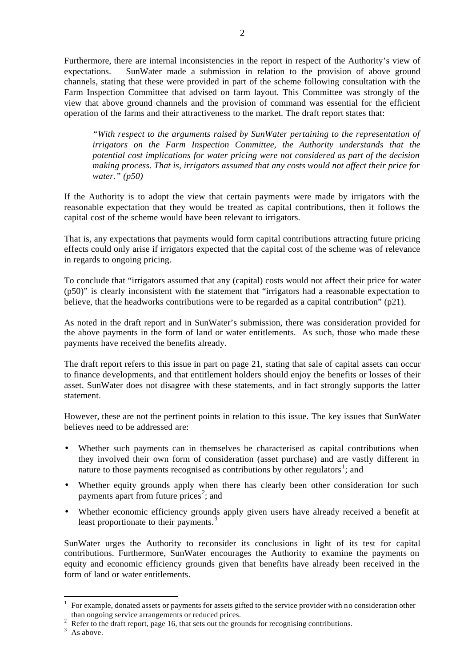Furthermore, there are internal inconsistencies in the report in respect of the Authority's view of expectations. SunWater made a submission in relation to the provision of above ground channels, stating that these were provided in part of the scheme following consultation with the Farm Inspection Committee that advised on farm layout. This Committee was strongly of the view that above ground channels and the provision of command was essential for the efficient operation of the farms and their attractiveness to the market. The draft report states that:

*"With respect to the arguments raised by SunWater pertaining to the representation of irrigators on the Farm Inspection Committee, the Authority understands that the potential cost implications for water pricing were not considered as part of the decision making process. That is, irrigators assumed that any costs would not affect their price for water." (p50)* 

If the Authority is to adopt the view that certain payments were made by irrigators with the reasonable expectation that they would be treated as capital contributions, then it follows the capital cost of the scheme would have been relevant to irrigators.

That is, any expectations that payments would form capital contributions attracting future pricing effects could only arise if irrigators expected that the capital cost of the scheme was of relevance in regards to ongoing pricing.

To conclude that "irrigators assumed that any (capital) costs would not affect their price for water (p50)" is clearly inconsistent with the statement that "irrigators had a reasonable expectation to believe, that the headworks contributions were to be regarded as a capital contribution" (p21).

As noted in the draft report and in SunWater's submission, there was consideration provided for the above payments in the form of land or water entitlements. As such, those who made these payments have received the benefits already.

The draft report refers to this issue in part on page 21, stating that sale of capital assets can occur to finance developments, and that entitlement holders should enjoy the benefits or losses of their asset. SunWater does not disagree with these statements, and in fact strongly supports the latter statement.

However, these are not the pertinent points in relation to this issue. The key issues that SunWater believes need to be addressed are:

- Whether such payments can in themselves be characterised as capital contributions when they involved their own form of consideration (asset purchase) and are vastly different in nature to those payments recognised as contributions by other regulators<sup>1</sup>; and
- Whether equity grounds apply when there has clearly been other consideration for such payments apart from future prices<sup>2</sup>; and
- Whether economic efficiency grounds apply given users have already received a benefit at least proportionate to their payments. $3$

SunWater urges the Authority to reconsider its conclusions in light of its test for capital contributions. Furthermore, SunWater encourages the Authority to examine the payments on equity and economic efficiency grounds given that benefits have already been received in the form of land or water entitlements.

l

<sup>1</sup> For example, donated assets or payments for assets gifted to the service provider with no consideration other than ongoing service arrangements or reduced prices.

<sup>&</sup>lt;sup>2</sup> Refer to the draft report, page 16, that sets out the grounds for recognising contributions.

 $3$  As above.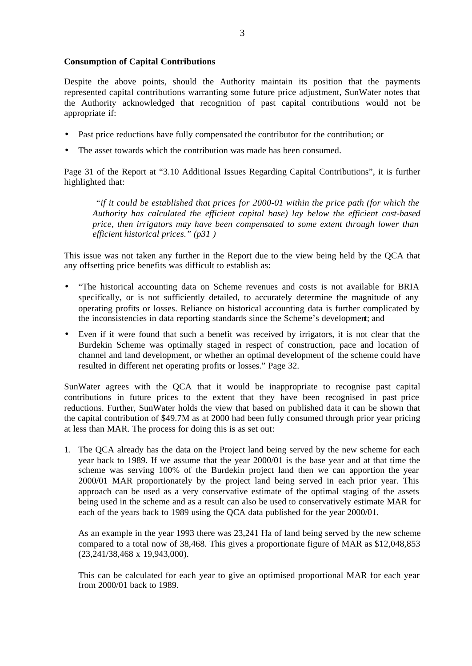#### **Consumption of Capital Contributions**

Despite the above points, should the Authority maintain its position that the payments represented capital contributions warranting some future price adjustment, SunWater notes that the Authority acknowledged that recognition of past capital contributions would not be appropriate if:

- Past price reductions have fully compensated the contributor for the contribution; or
- The asset towards which the contribution was made has been consumed.

Page 31 of the Report at "3.10 Additional Issues Regarding Capital Contributions", it is further highlighted that:

 *"if it could be established that prices for 2000-01 within the price path (for which the Authority has calculated the efficient capital base) lay below the efficient cost-based price, then irrigators may have been compensated to some extent through lower than efficient historical prices." (p31 )*

This issue was not taken any further in the Report due to the view being held by the QCA that any offsetting price benefits was difficult to establish as:

- "The historical accounting data on Scheme revenues and costs is not available for BRIA specifically, or is not sufficiently detailed, to accurately determine the magnitude of any operating profits or losses. Reliance on historical accounting data is further complicated by the inconsistencies in data reporting standards since the Scheme's development; and
- Even if it were found that such a benefit was received by irrigators, it is not clear that the Burdekin Scheme was optimally staged in respect of construction, pace and location of channel and land development, or whether an optimal development of the scheme could have resulted in different net operating profits or losses." Page 32.

SunWater agrees with the QCA that it would be inappropriate to recognise past capital contributions in future prices to the extent that they have been recognised in past price reductions. Further, SunWater holds the view that based on published data it can be shown that the capital contribution of \$49.7M as at 2000 had been fully consumed through prior year pricing at less than MAR. The process for doing this is as set out:

1. The QCA already has the data on the Project land being served by the new scheme for each year back to 1989. If we assume that the year 2000/01 is the base year and at that time the scheme was serving 100% of the Burdekin project land then we can apportion the year 2000/01 MAR proportionately by the project land being served in each prior year. This approach can be used as a very conservative estimate of the optimal staging of the assets being used in the scheme and as a result can also be used to conservatively estimate MAR for each of the years back to 1989 using the QCA data published for the year 2000/01.

As an example in the year 1993 there was 23,241 Ha of land being served by the new scheme compared to a total now of 38,468. This gives a proportionate figure of MAR as \$12,048,853 (23,241/38,468 x 19,943,000).

This can be calculated for each year to give an optimised proportional MAR for each year from 2000/01 back to 1989.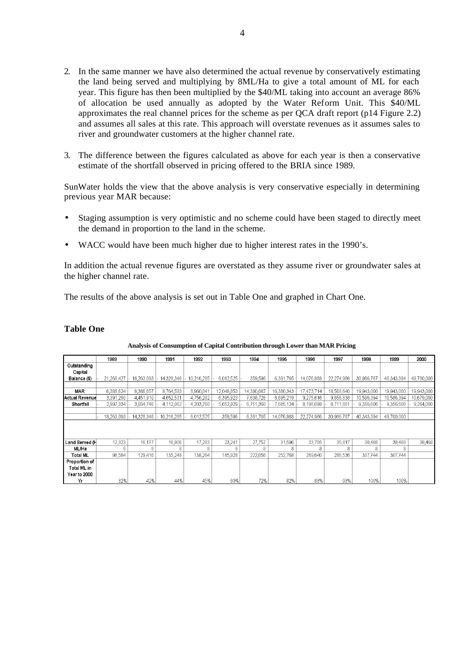- 2. In the same manner we have also determined the actual revenue by conservatively estimating the land being served and multiplying by 8ML/Ha to give a total amount of ML for each year. This figure has then been multiplied by the \$40/ML taking into account an average 86% of allocation be used annually as adopted by the Water Reform Unit. This \$40/ML approximates the real channel prices for the scheme as per QCA draft report (p14 Figure 2.2) and assumes all sales at this rate. This approach will overstate revenues as it assumes sales to river and groundwater customers at the higher channel rate.
- 3. The difference between the figures calculated as above for each year is then a conservative estimate of the shortfall observed in pricing offered to the BRIA since 1989.

SunWater holds the view that the above analysis is very conservative especially in determining previous year MAR because:

- Staging assumption is very optimistic and no scheme could have been staged to directly meet the demand in proportion to the land in the scheme.
- WACC would have been much higher due to higher interest rates in the 1990's.

In addition the actual revenue figures are overstated as they assume river or groundwater sales at the higher channel rate.

The results of the above analysis is set out in Table One and graphed in Chart One.

#### **Table One**

|                | 1989       | 1990       | 1991       | 1992       | 1993       | 1994       | 1995       | 1996       | 1997       | 1998       | 1999       | 2000       |
|----------------|------------|------------|------------|------------|------------|------------|------------|------------|------------|------------|------------|------------|
| Outstanding    |            |            |            |            |            |            |            |            |            |            |            |            |
| Capital        |            |            |            |            |            |            |            |            |            |            |            |            |
| Balance (\$)   | 21.260.427 | 18,263,093 | 14 328 346 | 10.216.285 | 6,012,525  | 359,596    | 6,391,765  | 14.076.888 | 22.274,986 | 30,986,787 | 40,343,394 | 49,700,000 |
|                |            |            |            |            |            |            |            |            |            |            |            |            |
| <b>MAR</b>     | 6,388,624  | 8,386,657  | 8.764.593  | 8,960,041  | 12,048,853 | 14,390,087 | 16,380,343 | 17,473,714 | 18,568,640 | 19,943,000 | 19,943,000 | 19,943,000 |
| Actual Revenue | 3,391,290  | 4,451,910  | 4,652,531  | 4,756,282  | 6,395,923  | 7.638.726  | 8,695,219  | 9.275.616  | 9856838    | 10,586,394 | 10,586,394 | 10,679,000 |
| Shortfall      | 2,997,334  | 3,934,746  | 4.112.062  | 4,203,760  | 5,652,929  | 6,751,360  | 7,685,124  | 8,198,098  | 8,711,801  | 9,356,606  | 9,356,606  | 9,264,000  |
|                |            |            |            |            |            |            |            |            |            |            |            |            |
|                | 18,263,093 | 14,328,346 | 10,216,285 | 6,012,525  | 359,596    | 6,391,765  | 14,076,888 | 22,274,986 | 30,986,787 | 40,343,394 | 49,700,000 |            |
|                |            |            |            |            |            |            |            |            |            |            |            |            |
|                |            |            |            |            |            |            |            |            |            |            |            |            |
|                |            |            |            |            |            |            |            |            |            |            |            |            |
| Land Served (H | 12,323     | 16,177     | 16,906     | 17,283     | 23,241     | 27,757     | 31,596     | 33,705     | 35,817     | 38,468     | 38,468     | 38,468     |
| ML/Ha          | 8          | 8          | 8          | 8          | 8          | 8          | 8          | 8          | 8          | κ          | 8          |            |
| Total ML       | 98,584     | 129,416    | 135 248    | 138,264    | 185,928    | 222,056    | 252,768    | 269,640    | 286,536    | 307.744    | 307,744    |            |
| Proportion of  |            |            |            |            |            |            |            |            |            |            |            |            |
| Total ML in    |            |            |            |            |            |            |            |            |            |            |            |            |
| Year to 2000   |            |            |            |            |            |            |            |            |            |            |            |            |
| Yr             | 32%        | 42%        | 44%        | 45%        | 60%        | 72%        | 82%        | 88%        | 93%        | 100%       | 100%       |            |

**Analysis of Consumption of Capital Contribution through Lower than MAR Pricing**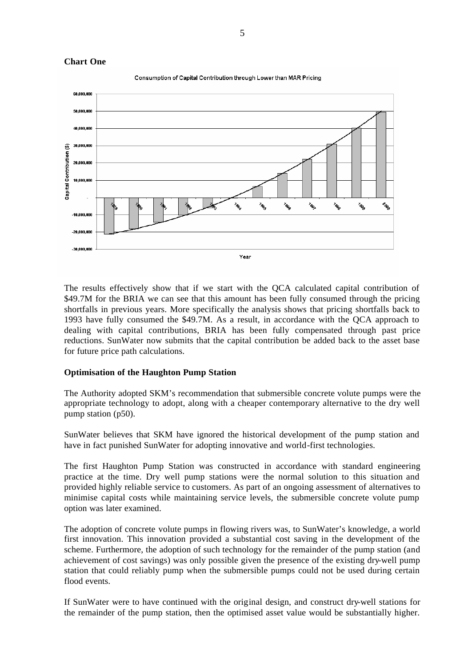

5

The results effectively show that if we start with the QCA calculated capital contribution of \$49.7M for the BRIA we can see that this amount has been fully consumed through the pricing shortfalls in previous years. More specifically the analysis shows that pricing shortfalls back to 1993 have fully consumed the \$49.7M. As a result, in accordance with the QCA approach to dealing with capital contributions, BRIA has been fully compensated through past price reductions. SunWater now submits that the capital contribution be added back to the asset base for future price path calculations.

#### **Optimisation of the Haughton Pump Station**

The Authority adopted SKM's recommendation that submersible concrete volute pumps were the appropriate technology to adopt, along with a cheaper contemporary alternative to the dry well pump station (p50).

SunWater believes that SKM have ignored the historical development of the pump station and have in fact punished SunWater for adopting innovative and world-first technologies.

The first Haughton Pump Station was constructed in accordance with standard engineering practice at the time. Dry well pump stations were the normal solution to this situation and provided highly reliable service to customers. As part of an ongoing assessment of alternatives to minimise capital costs while maintaining service levels, the submersible concrete volute pump option was later examined.

The adoption of concrete volute pumps in flowing rivers was, to SunWater's knowledge, a world first innovation. This innovation provided a substantial cost saving in the development of the scheme. Furthermore, the adoption of such technology for the remainder of the pump station (and achievement of cost savings) was only possible given the presence of the existing dry-well pump station that could reliably pump when the submersible pumps could not be used during certain flood events.

If SunWater were to have continued with the original design, and construct dry-well stations for the remainder of the pump station, then the optimised asset value would be substantially higher.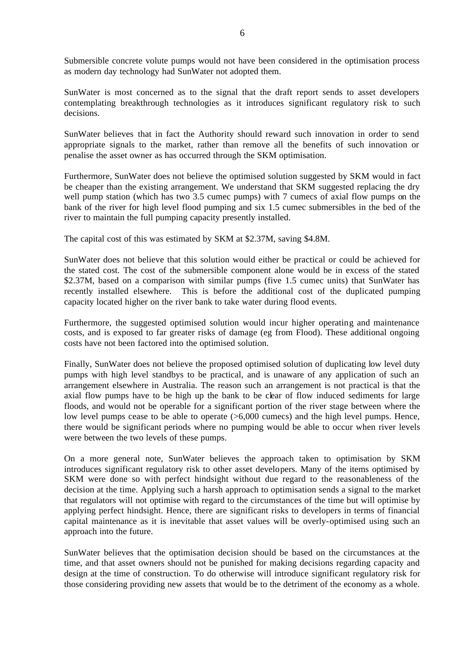Submersible concrete volute pumps would not have been considered in the optimisation process as modern day technology had SunWater not adopted them.

SunWater is most concerned as to the signal that the draft report sends to asset developers contemplating breakthrough technologies as it introduces significant regulatory risk to such decisions.

SunWater believes that in fact the Authority should reward such innovation in order to send appropriate signals to the market, rather than remove all the benefits of such innovation or penalise the asset owner as has occurred through the SKM optimisation.

Furthermore, SunWater does not believe the optimised solution suggested by SKM would in fact be cheaper than the existing arrangement. We understand that SKM suggested replacing the dry well pump station (which has two 3.5 cumec pumps) with 7 cumecs of axial flow pumps on the bank of the river for high level flood pumping and six 1.5 cumec submersibles in the bed of the river to maintain the full pumping capacity presently installed.

The capital cost of this was estimated by SKM at \$2.37M, saving \$4.8M.

SunWater does not believe that this solution would either be practical or could be achieved for the stated cost. The cost of the submersible component alone would be in excess of the stated \$2.37M, based on a comparison with similar pumps (five 1.5 cumec units) that SunWater has recently installed elsewhere. This is before the additional cost of the duplicated pumping capacity located higher on the river bank to take water during flood events.

Furthermore, the suggested optimised solution would incur higher operating and maintenance costs, and is exposed to far greater risks of damage (eg from Flood). These additional ongoing costs have not been factored into the optimised solution.

Finally, SunWater does not believe the proposed optimised solution of duplicating low level duty pumps with high level standbys to be practical, and is unaware of any application of such an arrangement elsewhere in Australia. The reason such an arrangement is not practical is that the axial flow pumps have to be high up the bank to be clear of flow induced sediments for large floods, and would not be operable for a significant portion of the river stage between where the low level pumps cease to be able to operate (>6,000 cumecs) and the high level pumps. Hence, there would be significant periods where no pumping would be able to occur when river levels were between the two levels of these pumps.

On a more general note, SunWater believes the approach taken to optimisation by SKM introduces significant regulatory risk to other asset developers. Many of the items optimised by SKM were done so with perfect hindsight without due regard to the reasonableness of the decision at the time. Applying such a harsh approach to optimisation sends a signal to the market that regulators will not optimise with regard to the circumstances of the time but will optimise by applying perfect hindsight. Hence, there are significant risks to developers in terms of financial capital maintenance as it is inevitable that asset values will be overly-optimised using such an approach into the future.

SunWater believes that the optimisation decision should be based on the circumstances at the time, and that asset owners should not be punished for making decisions regarding capacity and design at the time of construction. To do otherwise will introduce significant regulatory risk for those considering providing new assets that would be to the detriment of the economy as a whole.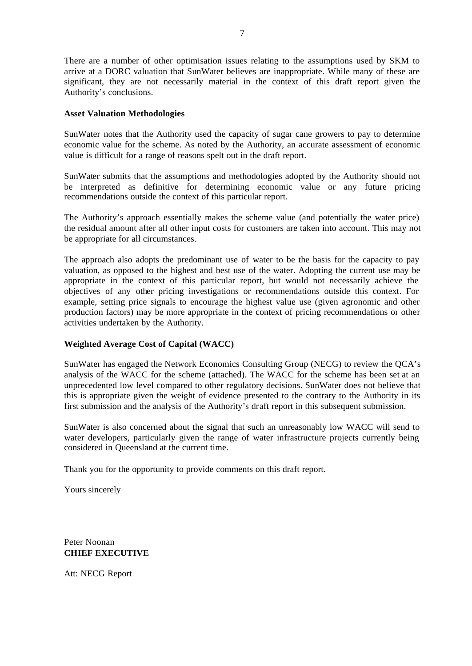There are a number of other optimisation issues relating to the assumptions used by SKM to arrive at a DORC valuation that SunWater believes are inappropriate. While many of these are significant, they are not necessarily material in the context of this draft report given the Authority's conclusions.

#### **Asset Valuation Methodologies**

SunWater notes that the Authority used the capacity of sugar cane growers to pay to determine economic value for the scheme. As noted by the Authority, an accurate assessment of economic value is difficult for a range of reasons spelt out in the draft report.

SunWater submits that the assumptions and methodologies adopted by the Authority should not be interpreted as definitive for determining economic value or any future pricing recommendations outside the context of this particular report.

The Authority's approach essentially makes the scheme value (and potentially the water price) the residual amount after all other input costs for customers are taken into account. This may not be appropriate for all circumstances.

The approach also adopts the predominant use of water to be the basis for the capacity to pay valuation, as opposed to the highest and best use of the water. Adopting the current use may be appropriate in the context of this particular report, but would not necessarily achieve the objectives of any other pricing investigations or recommendations outside this context. For example, setting price signals to encourage the highest value use (given agronomic and other production factors) may be more appropriate in the context of pricing recommendations or other activities undertaken by the Authority.

#### **Weighted Average Cost of Capital (WACC)**

SunWater has engaged the Network Economics Consulting Group (NECG) to review the QCA's analysis of the WACC for the scheme (attached). The WACC for the scheme has been set at an unprecedented low level compared to other regulatory decisions. SunWater does not believe that this is appropriate given the weight of evidence presented to the contrary to the Authority in its first submission and the analysis of the Authority's draft report in this subsequent submission.

SunWater is also concerned about the signal that such an unreasonably low WACC will send to water developers, particularly given the range of water infrastructure projects currently being considered in Queensland at the current time.

Thank you for the opportunity to provide comments on this draft report.

Yours sincerely

Peter Noonan **CHIEF EXECUTIVE**

Att: NECG Report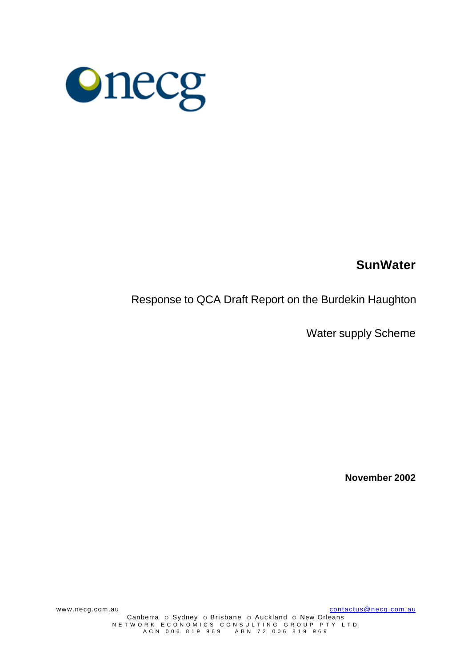

# **SunWater**

Response to QCA Draft Report on the Burdekin Haughton

Water supply Scheme

**November 2002**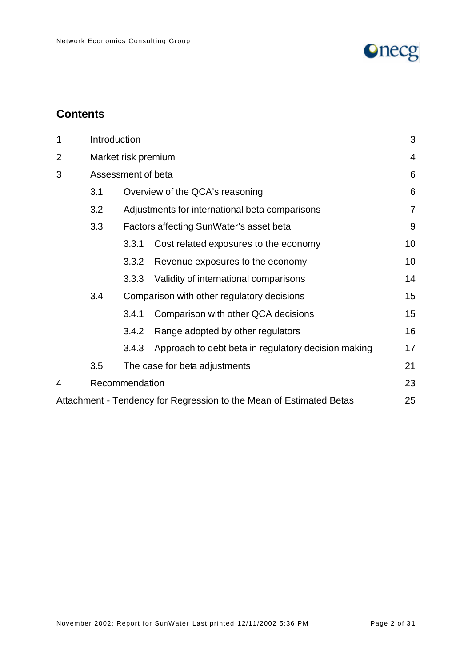

# **Contents**

| 1              |     | Introduction                                   |                                                                     |    |  |  |
|----------------|-----|------------------------------------------------|---------------------------------------------------------------------|----|--|--|
| $\overline{2}$ |     | Market risk premium                            |                                                                     |    |  |  |
| 3              |     | Assessment of beta                             |                                                                     |    |  |  |
|                | 3.1 | Overview of the QCA's reasoning                |                                                                     |    |  |  |
|                | 3.2 | Adjustments for international beta comparisons |                                                                     |    |  |  |
|                | 3.3 | Factors affecting SunWater's asset beta        |                                                                     |    |  |  |
|                |     | 3.3.1                                          | Cost related exposures to the economy                               | 10 |  |  |
|                |     | 3.3.2                                          | Revenue exposures to the economy                                    | 10 |  |  |
|                |     | 3.3.3                                          | Validity of international comparisons                               | 14 |  |  |
|                | 3.4 | Comparison with other regulatory decisions     |                                                                     |    |  |  |
|                |     | 3.4.1                                          | Comparison with other QCA decisions                                 | 15 |  |  |
|                |     | 3.4.2                                          | Range adopted by other regulators                                   | 16 |  |  |
|                |     | 3.4.3                                          | Approach to debt beta in regulatory decision making                 | 17 |  |  |
|                | 3.5 | The case for beta adjustments                  |                                                                     |    |  |  |
| 4              |     | Recommendation                                 |                                                                     | 23 |  |  |
|                |     |                                                | Attachment - Tendency for Regression to the Mean of Estimated Betas | 25 |  |  |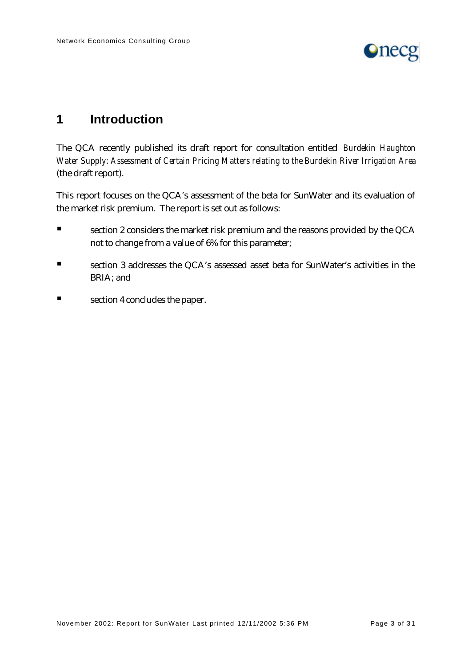

# **1 Introduction**

The QCA recently published its draft report for consultation entitled *Burdekin Haughton Water Supply: Assessment of Certain Pricing Matters relating to the Burdekin River Irrigation Area* (the draft report).

This report focuses on the QCA's assessment of the beta for SunWater and its evaluation of the market risk premium. The report is set out as follows:

- **Exection 2 considers the market risk premium and the reasons provided by the QCA** not to change from a value of 6% for this parameter;
- **Exection 3 addresses the QCA's assessed asset beta for SunWater's activities in the** BRIA; and
- $\blacksquare$  section 4 concludes the paper.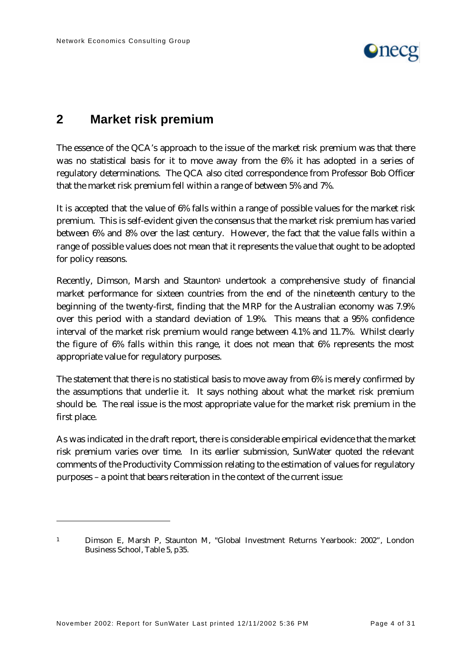

# **2 Market risk premium**

The essence of the QCA's approach to the issue of the market risk premium was that there was no statistical basis for it to move away from the 6% it has adopted in a series of regulatory determinations. The QCA also cited correspondence from Professor Bob Officer that the market risk premium fell within a range of between 5% and 7%.

It is accepted that the value of 6% falls within a range of possible values for the market risk premium. This is self-evident given the consensus that the market risk premium has varied between 6% and 8% over the last century. However, the fact that the value falls within a range of possible values does not mean that it represents the value that ought to be adopted for policy reasons.

Recently, Dimson, Marsh and Staunton<sup>1</sup> undertook a comprehensive study of financial market performance for sixteen countries from the end of the nineteenth century to the beginning of the twenty-first, finding that the MRP for the Australian economy was 7.9% over this period with a standard deviation of 1.9%. This means that a 95% confidence interval of the market risk premium would range between 4.1% and 11.7%. Whilst clearly the figure of 6% falls within this range, it does not mean that 6% represents the most appropriate value for regulatory purposes.

The statement that there is no statistical basis to move away from 6% is merely confirmed by the assumptions that underlie it. It says nothing about what the market risk premium should be. The real issue is the most appropriate value for the market risk premium in the first place.

As was indicated in the draft report, there is considerable empirical evidence that the market risk premium varies over time. In its earlier submission, SunWater quoted the relevant comments of the Productivity Commission relating to the estimation of values for regulatory purposes – a point that bears reiteration in the context of the current issue:

<sup>1</sup> Dimson E, Marsh P, Staunton M, "Global Investment Returns Yearbook: 2002", London Business School, Table 5, p35.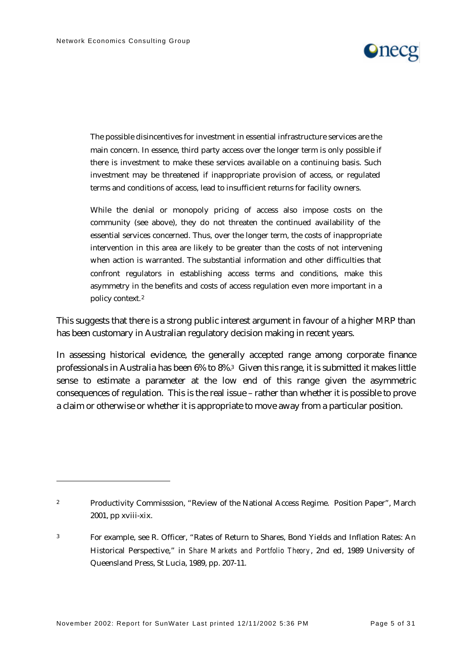$\overline{a}$ 



The possible disincentives for investment in essential infrastructure services are the main concern. In essence, third party access over the longer term is only possible if there is investment to make these services available on a continuing basis. Such investment may be threatened if inappropriate provision of access, or regulated terms and conditions of access, lead to insufficient returns for facility owners.

While the denial or monopoly pricing of access also impose costs on the community (see above), they do not threaten the continued availability of the essential services concerned. Thus, over the longer term, the costs of inappropriate intervention in this area are likely to be greater than the costs of not intervening when action is warranted. The substantial information and other difficulties that confront regulators in establishing access terms and conditions, make this asymmetry in the benefits and costs of access regulation even more important in a policy context.<sup>2</sup>

This suggests that there is a strong public interest argument in favour of a higher MRP than has been customary in Australian regulatory decision making in recent years.

In assessing historical evidence, the generally accepted range among corporate finance professionals in Australia has been 6% to 8%.3 Given this range, it is submitted it makes little sense to estimate a parameter at the low end of this range given the asymmetric consequences of regulation. This is the real issue – rather than whether it is possible to prove a claim or otherwise or whether it is appropriate to move away from a particular position.

<sup>&</sup>lt;sup>2</sup> Productivity Commisssion, "Review of the National Access Regime. Position Paper", March 2001, pp xviii-xix.

<sup>3</sup> For example, see R. Officer, "Rates of Return to Shares, Bond Yields and Inflation Rates: An Historical Perspective," in *Share Markets and Portfolio Theory*, 2nd ed, 1989 University of Queensland Press, St Lucia, 1989, pp. 207-11.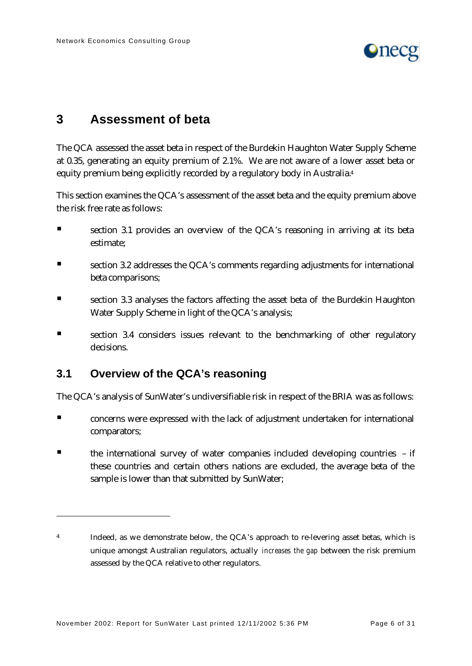

# **3 Assessment of beta**

The QCA assessed the asset beta in respect of the Burdekin Haughton Water Supply Scheme at 0.35, generating an equity premium of 2.1%. We are not aware of a lower asset beta or equity premium being explicitly recorded by a regulatory body in Australia.<sup>4</sup>

This section examines the QCA's assessment of the asset beta and the equity premium above the risk free rate as follows:

- ß section 3.1 provides an overview of the QCA's reasoning in arriving at its beta estimate;
- section 3.2 addresses the QCA's comments regarding adjustments for international beta comparisons;
- **Exection 3.3 analyses the factors affecting the asset beta of the Burdekin Haughton** Water Supply Scheme in light of the QCA's analysis;
- section 3.4 considers issues relevant to the benchmarking of other regulatory decisions.

## **3.1 Overview of the QCA's reasoning**

 $\overline{a}$ 

The QCA's analysis of SunWater's undiversifiable risk in respect of the BRIA was as follows:

- ß concerns were expressed with the lack of adjustment undertaken for international comparators;
- $\blacksquare$  the international survey of water companies included developing countries if these countries and certain others nations are excluded, the average beta of the sample is lower than that submitted by SunWater;

<sup>4</sup> Indeed, as we demonstrate below, the QCA's approach to re-levering asset betas, which is unique amongst Australian regulators, actually *increases the gap* between the risk premium assessed by the QCA relative to other regulators.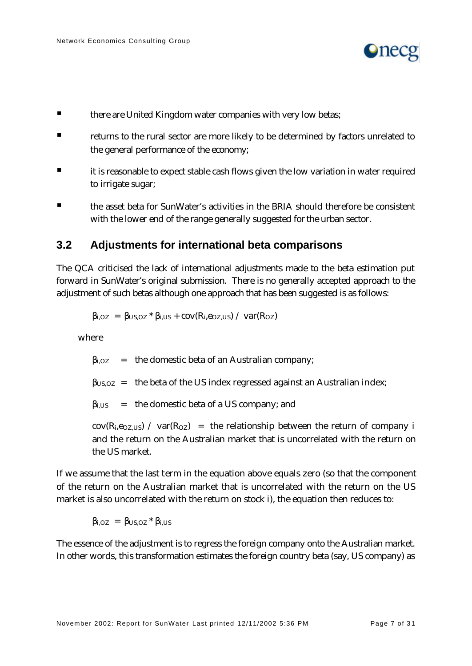

- **Example 12 there are United Kingdom water companies with very low betas;**
- ß returns to the rural sector are more likely to be determined by factors unrelated to the general performance of the economy;
- ß it is reasonable to expect stable cash flows given the low variation in water required to irrigate sugar;
- ß the asset beta for SunWater's activities in the BRIA should therefore be consistent with the lower end of the range generally suggested for the urban sector.

### **3.2 Adjustments for international beta comparisons**

The QCA criticised the lack of international adjustments made to the beta estimation put forward in SunWater's original submission. There is no generally accepted approach to the adjustment of such betas although one approach that has been suggested is as follows:

$$
\beta_{i, OZ} = \beta_{US, OZ} * \beta_{i, US} + cov(R_i, e_{OZ, US}) / var(R_{OZ})
$$

where

 $\beta_{i,0Z}$  = the domestic beta of an Australian company;

 $\beta_{\text{US, OZ}}$  = the beta of the US index regressed against an Australian index;

 $\beta_{i,US}$  = the domestic beta of a US company; and

 $cov(R_i, e_{OZ, US})$  /  $var(R_{OZ})$  = the relationship between the return of company i and the return on the Australian market that is uncorrelated with the return on the US market.

If we assume that the last term in the equation above equals zero (so that the component of the return on the Australian market that is uncorrelated with the return on the US market is also uncorrelated with the return on stock i), the equation then reduces to:

 $\beta_{i, OZ}$  =  $\beta_{US, OZ} * \beta_{i, US}$ 

The essence of the adjustment is to regress the foreign company onto the Australian market. In other words, this transformation estimates the foreign country beta (say, US company) as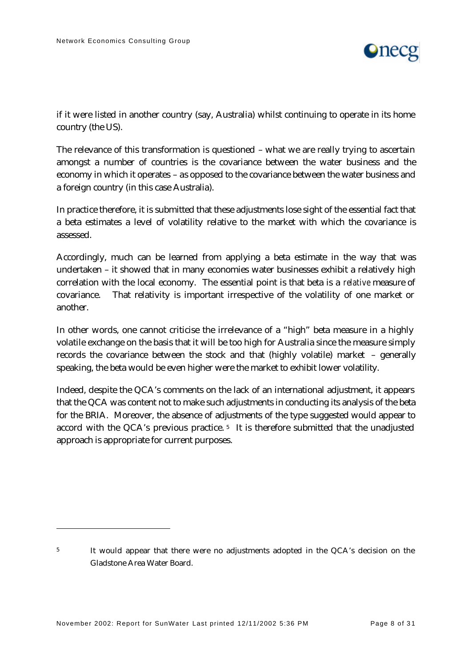

if it were listed in another country (say, Australia) whilst continuing to operate in its home country (the US).

The relevance of this transformation is questioned – what we are really trying to ascertain amongst a number of countries is the covariance between the water business and the economy in which it operates – as opposed to the covariance between the water business and a foreign country (in this case Australia).

In practice therefore, it is submitted that these adjustments lose sight of the essential fact that a beta estimates a level of volatility relative to the market with which the covariance is assessed.

Accordingly, much can be learned from applying a beta estimate in the way that was undertaken – it showed that in many economies water businesses exhibit a relatively high correlation with the local economy. The essential point is that beta is a *relative* measure of covariance. That relativity is important irrespective of the volatility of one market or another.

In other words, one cannot criticise the irrelevance of a "high" beta measure in a highly volatile exchange on the basis that it will be too high for Australia since the measure simply records the covariance between the stock and that (highly volatile) market – generally speaking, the beta would be even higher were the market to exhibit lower volatility.

Indeed, despite the QCA's comments on the lack of an international adjustment, it appears that the QCA was content not to make such adjustments in conducting its analysis of the beta for the BRIA. Moreover, the absence of adjustments of the type suggested would appear to accord with the QCA's previous practice. <sup>5</sup> It is therefore submitted that the unadjusted approach is appropriate for current purposes.

<sup>5</sup> It would appear that there were no adjustments adopted in the QCA's decision on the Gladstone Area Water Board.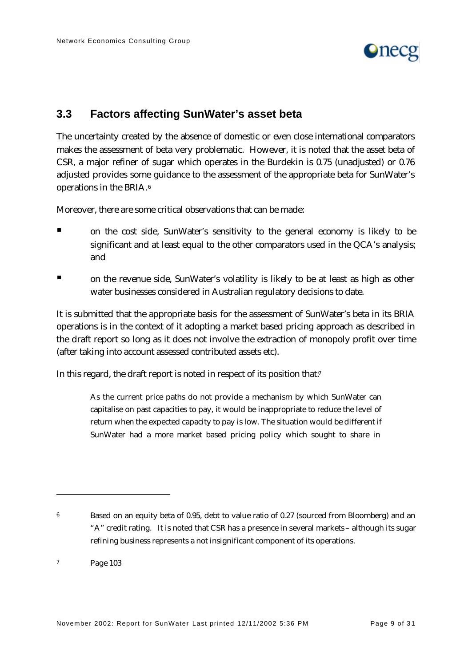

## **3.3 Factors affecting SunWater's asset beta**

The uncertainty created by the absence of domestic or even close international comparators makes the assessment of beta very problematic. However, it is noted that the asset beta of CSR, a major refiner of sugar which operates in the Burdekin is 0.75 (unadjusted) or 0.76 adjusted provides some guidance to the assessment of the appropriate beta for SunWater's operations in the BRIA.<sup>6</sup>

Moreover, there are some critical observations that can be made:

- **If** on the cost side, SunWater's sensitivity to the general economy is likely to be significant and at least equal to the other comparators used in the QCA's analysis; and
- ß on the revenue side, SunWater's volatility is likely to be at least as high as other water businesses considered in Australian regulatory decisions to date.

It is submitted that the appropriate basis for the assessment of SunWater's beta in its BRIA operations is in the context of it adopting a market based pricing approach as described in the draft report so long as it does not involve the extraction of monopoly profit over time (after taking into account assessed contributed assets etc).

In this regard, the draft report is noted in respect of its position that.<sup>7</sup>

As the current price paths do not provide a mechanism by which SunWater can capitalise on past capacities to pay, it would be inappropriate to reduce the level of return when the expected capacity to pay is low. The situation would be different if SunWater had a more market based pricing policy which sought to share in

<sup>&</sup>lt;sup>6</sup> Based on an equity beta of 0.95, debt to value ratio of 0.27 (sourced from Bloomberg) and an "A" credit rating. It is noted that CSR has a presence in several markets – although its sugar refining business represents a not insignificant component of its operations.

<sup>7</sup> Page 103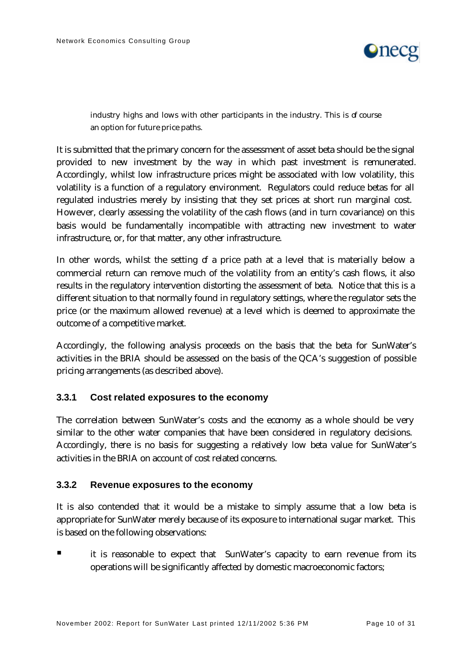

industry highs and lows with other participants in the industry. This is of course an option for future price paths.

It is submitted that the primary concern for the assessment of asset beta should be the signal provided to new investment by the way in which past investment is remunerated. Accordingly, whilst low infrastructure prices might be associated with low volatility, this volatility is a function of a regulatory environment. Regulators could reduce betas for all regulated industries merely by insisting that they set prices at short run marginal cost. However, clearly assessing the volatility of the cash flows (and in turn covariance) on this basis would be fundamentally incompatible with attracting new investment to water infrastructure, or, for that matter, any other infrastructure.

In other words, whilst the setting of a price path at a level that is materially below a commercial return can remove much of the volatility from an entity's cash flows, it also results in the regulatory intervention distorting the assessment of beta. Notice that this is a different situation to that normally found in regulatory settings, where the regulator sets the price (or the maximum allowed revenue) at a level which is deemed to approximate the outcome of a competitive market.

Accordingly, the following analysis proceeds on the basis that the beta for SunWater's activities in the BRIA should be assessed on the basis of the QCA's suggestion of possible pricing arrangements (as described above).

#### **3.3.1 Cost related exposures to the economy**

The correlation between SunWater's costs and the economy as a whole should be very similar to the other water companies that have been considered in regulatory decisions. Accordingly, there is no basis for suggesting a relatively low beta value for SunWater's activities in the BRIA on account of cost related concerns.

#### **3.3.2 Revenue exposures to the economy**

It is also contended that it would be a mistake to simply assume that a low beta is appropriate for SunWater merely because of its exposure to international sugar market. This is based on the following observations:

ß it is reasonable to expect that SunWater's capacity to earn revenue from its operations will be significantly affected by domestic macroeconomic factors;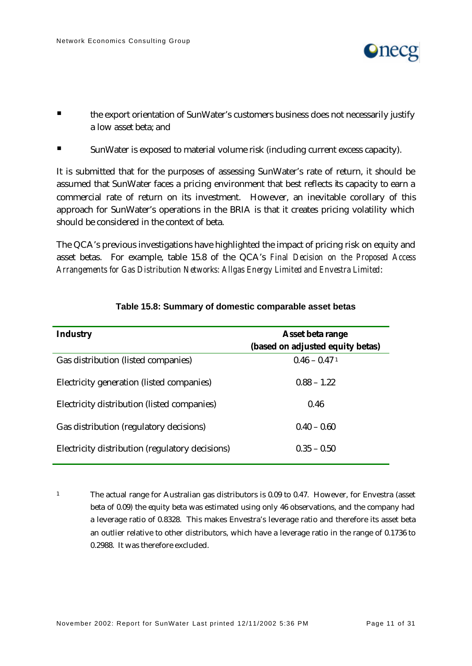

- ß the export orientation of SunWater's customers business does not necessarily justify a low asset beta; and
- **Example 3** SunWater is exposed to material volume risk (including current excess capacity).

It is submitted that for the purposes of assessing SunWater's rate of return, it should be assumed that SunWater faces a pricing environment that best reflects its capacity to earn a commercial rate of return on its investment. However, an inevitable corollary of this approach for SunWater's operations in the BRIA is that it creates pricing volatility which should be considered in the context of beta.

The QCA's previous investigations have highlighted the impact of pricing risk on equity and asset betas. For example, table 15.8 of the QCA's *Final Decision on the Proposed Access Arrangements for Gas Distribution Networks: Allgas Energy Limited and Envestra Limited*:

| <b>Industry</b>                                 | Asset beta range<br>(based on adjusted equity betas) |
|-------------------------------------------------|------------------------------------------------------|
| Gas distribution (listed companies)             | $0.46 - 0.471$                                       |
| Electricity generation (listed companies)       | $0.88 - 1.22$                                        |
| Electricity distribution (listed companies)     | 0.46                                                 |
| Gas distribution (regulatory decisions)         | $0.40 - 0.60$                                        |
| Electricity distribution (regulatory decisions) | $0.35 - 0.50$                                        |

#### **Table 15.8: Summary of domestic comparable asset betas**

<sup>1</sup> The actual range for Australian gas distributors is 0.09 to 0.47. However, for Envestra (asset beta of 0.09) the equity beta was estimated using only 46 observations, and the company had a leverage ratio of 0.8328. This makes Envestra's leverage ratio and therefore its asset beta an outlier relative to other distributors, which have a leverage ratio in the range of 0.1736 to 0.2988. It was therefore excluded.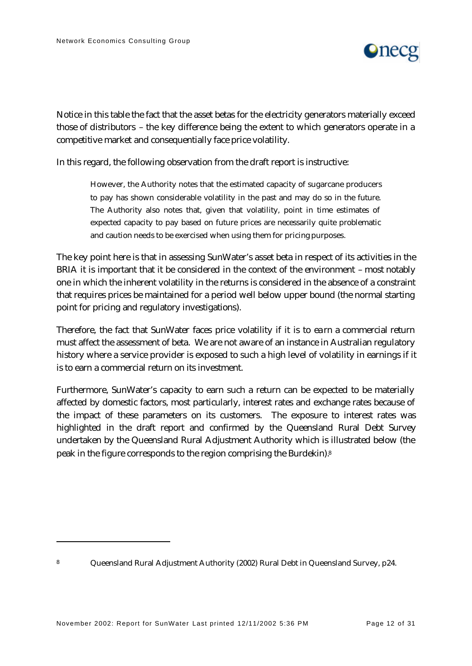

Notice in this table the fact that the asset betas for the electricity generators materially exceed those of distributors – the key difference being the extent to which generators operate in a competitive market and consequentially face price volatility.

In this regard, the following observation from the draft report is instructive:

However, the Authority notes that the estimated capacity of sugarcane producers to pay has shown considerable volatility in the past and may do so in the future. The Authority also notes that, given that volatility, point in time estimates of expected capacity to pay based on future prices are necessarily quite problematic and caution needs to be exercised when using them for pricing purposes.

The key point here is that in assessing SunWater's asset beta in respect of its activities in the BRIA it is important that it be considered in the context of the environment – most notably one in which the inherent volatility in the returns is considered in the absence of a constraint that requires prices be maintained for a period well below upper bound (the normal starting point for pricing and regulatory investigations).

Therefore, the fact that SunWater faces price volatility if it is to earn a commercial return must affect the assessment of beta. We are not aware of an instance in Australian regulatory history where a service provider is exposed to such a high level of volatility in earnings if it is to earn a commercial return on its investment.

Furthermore, SunWater's capacity to earn such a return can be expected to be materially affected by domestic factors, most particularly, interest rates and exchange rates because of the impact of these parameters on its customers. The exposure to interest rates was highlighted in the draft report and confirmed by the Queensland Rural Debt Survey undertaken by the Queensland Rural Adjustment Authority which is illustrated below (the peak in the figure corresponds to the region comprising the Burdekin).<sup>8</sup>

<sup>8</sup> Queensland Rural Adjustment Authority (2002) Rural Debt in Queensland Survey, p24.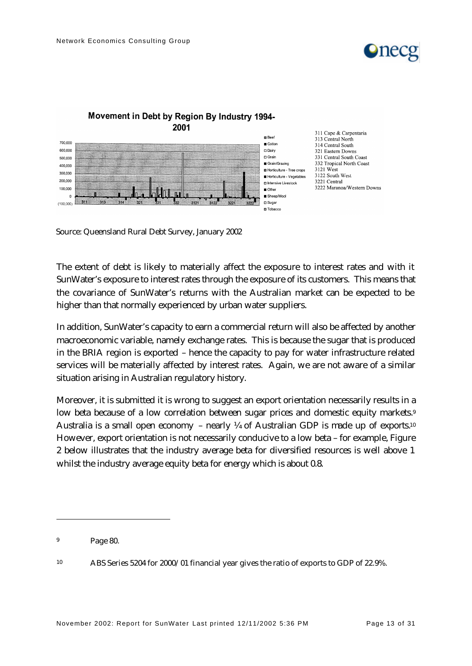



#### Movement in Debt by Region By Industry 1994-2001

Source: Queensland Rural Debt Survey, January 2002

The extent of debt is likely to materially affect the exposure to interest rates and with it SunWater's exposure to interest rates through the exposure of its customers. This means that the covariance of SunWater's returns with the Australian market can be expected to be higher than that normally experienced by urban water suppliers.

In addition, SunWater's capacity to earn a commercial return will also be affected by another macroeconomic variable, namely exchange rates. This is because the sugar that is produced in the BRIA region is exported – hence the capacity to pay for water infrastructure related services will be materially affected by interest rates. Again, we are not aware of a similar situation arising in Australian regulatory history.

Moreover, it is submitted it is wrong to suggest an export orientation necessarily results in a low beta because of a low correlation between sugar prices and domestic equity markets.<sup>9</sup> Australia is a small open economy – nearly  $\frac{1}{4}$  of Australian GDP is made up of exports.<sup>10</sup> However, export orientation is not necessarily conducive to a low beta – for example, Figure 2 below illustrates that the industry average beta for diversified resources is well above 1 whilst the industry average equity beta for energy which is about 0.8.

<sup>9</sup> Page 80.

<sup>10</sup> ABS Series 5204 for 2000/01 financial year gives the ratio of exports to GDP of 22.9%.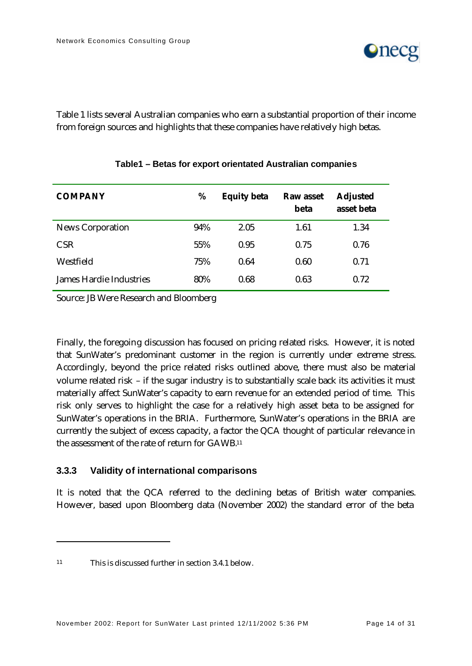

Table 1 lists several Australian companies who earn a substantial proportion of their income from foreign sources and highlights that these companies have relatively high betas.

| <b>COMPANY</b>                 | %   | <b>Equity beta</b> | <b>Raw asset</b><br>beta | <b>Adjusted</b><br>asset beta |
|--------------------------------|-----|--------------------|--------------------------|-------------------------------|
| <b>News Corporation</b>        | 94% | 2.05               | 1.61                     | 1.34                          |
| <b>CSR</b>                     | 55% | 0.95               | 0.75                     | 0.76                          |
| Westfield                      | 75% | 0.64               | 0.60                     | 0.71                          |
| <b>James Hardie Industries</b> | 80% | 0.68               | 0.63                     | 0.72                          |

#### **Table1 – Betas for export orientated Australian companies**

Source: JB Were Research and Bloomberg

Finally, the foregoing discussion has focused on pricing related risks. However, it is noted that SunWater's predominant customer in the region is currently under extreme stress. Accordingly, beyond the price related risks outlined above, there must also be material volume related risk – if the sugar industry is to substantially scale back its activities it must materially affect SunWater's capacity to earn revenue for an extended period of time. This risk only serves to highlight the case for a relatively high asset beta to be assigned for SunWater's operations in the BRIA. Furthermore, SunWater's operations in the BRIA are currently the subject of excess capacity, a factor the QCA thought of particular relevance in the assessment of the rate of return for GAWB.<sup>11</sup>

#### **3.3.3 Validity of international comparisons**

It is noted that the QCA referred to the declining betas of British water companies. However, based upon Bloomberg data (November 2002) the standard error of the beta

<sup>11</sup> This is discussed further in section 3.4.1 below.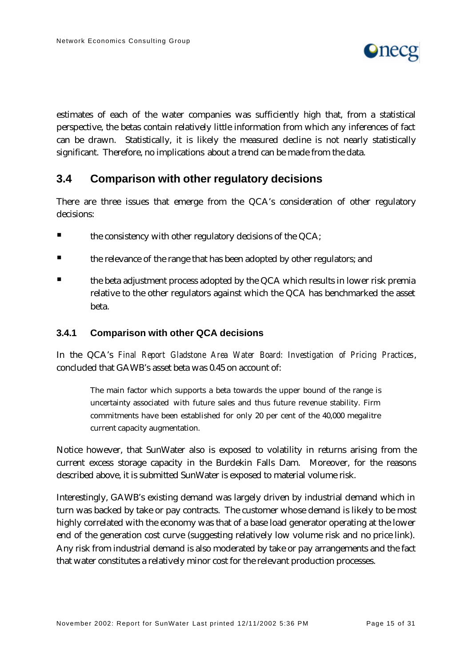

estimates of each of the water companies was sufficiently high that, from a statistical perspective, the betas contain relatively little information from which any inferences of fact can be drawn. Statistically, it is likely the measured decline is not nearly statistically significant. Therefore, no implications about a trend can be made from the data.

## **3.4 Comparison with other regulatory decisions**

There are three issues that emerge from the QCA's consideration of other regulatory decisions:

- $\blacksquare$  the consistency with other regulatory decisions of the QCA;
- ß the relevance of the range that has been adopted by other regulators; and
- ß the beta adjustment process adopted by the QCA which results in lower risk premia relative to the other regulators against which the QCA has benchmarked the asset beta.

#### **3.4.1 Comparison with other QCA decisions**

In the QCA's *Final Report Gladstone Area Water Board: Investigation of Pricing Practices*, concluded that GAWB's asset beta was 0.45 on account of:

The main factor which supports a beta towards the upper bound of the range is uncertainty associated with future sales and thus future revenue stability. Firm commitments have been established for only 20 per cent of the 40,000 megalitre current capacity augmentation.

Notice however, that SunWater also is exposed to volatility in returns arising from the current excess storage capacity in the Burdekin Falls Dam. Moreover, for the reasons described above, it is submitted SunWater is exposed to material volume risk.

Interestingly, GAWB's existing demand was largely driven by industrial demand which in turn was backed by take or pay contracts. The customer whose demand is likely to be most highly correlated with the economy was that of a base load generator operating at the lower end of the generation cost curve (suggesting relatively low volume risk and no price link). Any risk from industrial demand is also moderated by take or pay arrangements and the fact that water constitutes a relatively minor cost for the relevant production processes.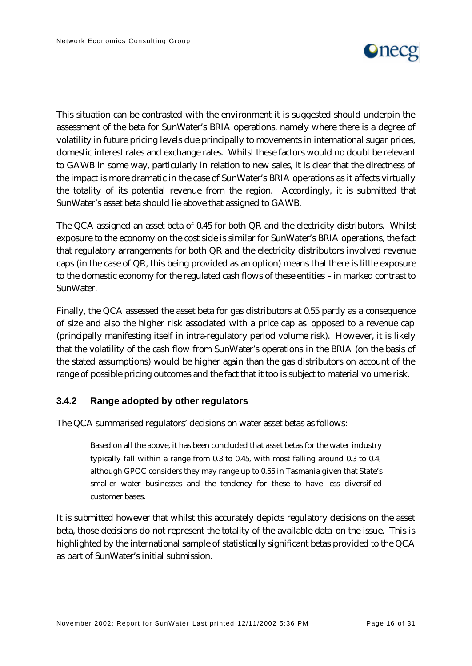

This situation can be contrasted with the environment it is suggested should underpin the assessment of the beta for SunWater's BRIA operations, namely where there is a degree of volatility in future pricing levels due principally to movements in international sugar prices, domestic interest rates and exchange rates. Whilst these factors would no doubt be relevant to GAWB in some way, particularly in relation to new sales, it is clear that the directness of the impact is more dramatic in the case of SunWater's BRIA operations as it affects virtually the totality of its potential revenue from the region. Accordingly, it is submitted that SunWater's asset beta should lie above that assigned to GAWB.

The QCA assigned an asset beta of 0.45 for both QR and the electricity distributors. Whilst exposure to the economy on the cost side is similar for SunWater's BRIA operations, the fact that regulatory arrangements for both QR and the electricity distributors involved revenue caps (in the case of QR, this being provided as an option) means that there is little exposure to the domestic economy for the regulated cash flows of these entities – in marked contrast to SunWater.

Finally, the QCA assessed the asset beta for gas distributors at 0.55 partly as a consequence of size and also the higher risk associated with a price cap as opposed to a revenue cap (principally manifesting itself in intra-regulatory period volume risk). However, it is likely that the volatility of the cash flow from SunWater's operations in the BRIA (on the basis of the stated assumptions) would be higher again than the gas distributors on account of the range of possible pricing outcomes and the fact that it too is subject to material volume risk.

#### **3.4.2 Range adopted by other regulators**

The QCA summarised regulators' decisions on water asset betas as follows:

Based on all the above, it has been concluded that asset betas for the water industry typically fall within a range from 0.3 to 0.45, with most falling around 0.3 to 0.4, although GPOC considers they may range up to 0.55 in Tasmania given that State's smaller water businesses and the tendency for these to have less diversified customer bases.

It is submitted however that whilst this accurately depicts regulatory decisions on the asset beta, those decisions do not represent the totality of the available data on the issue. This is highlighted by the international sample of statistically significant betas provided to the QCA as part of SunWater's initial submission.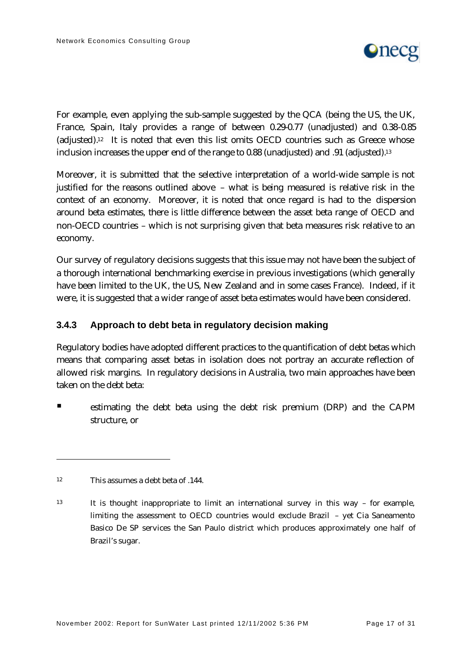

For example, even applying the sub-sample suggested by the QCA (being the US, the UK, France, Spain, Italy provides a range of between 0.29-0.77 (unadjusted) and 0.38-0.85 (adjusted).12 It is noted that even this list omits OECD countries such as Greece whose inclusion increases the upper end of the range to 0.88 (unadjusted) and .91 (adjusted).<sup>13</sup>

Moreover, it is submitted that the selective interpretation of a world-wide sample is not justified for the reasons outlined above – what is being measured is relative risk in the context of an economy. Moreover, it is noted that once regard is had to the dispersion around beta estimates, there is little difference between the asset beta range of OECD and non-OECD countries – which is not surprising given that beta measures risk relative to an economy.

Our survey of regulatory decisions suggests that this issue may not have been the subject of a thorough international benchmarking exercise in previous investigations (which generally have been limited to the UK, the US, New Zealand and in some cases France). Indeed, if it were, it is suggested that a wider range of asset beta estimates would have been considered.

#### **3.4.3 Approach to debt beta in regulatory decision making**

Regulatory bodies have adopted different practices to the quantification of debt betas which means that comparing asset betas in isolation does not portray an accurate reflection of allowed risk margins. In regulatory decisions in Australia, two main approaches have been taken on the debt beta:

ß estimating the debt beta using the debt risk premium (DRP) and the CAPM structure, or

 $12$  This assumes a debt beta of  $144$ .

<sup>13</sup> It is thought inappropriate to limit an international survey in this way – for example, limiting the assessment to OECD countries would exclude Brazil – yet Cia Saneamento Basico De SP services the San Paulo district which produces approximately one half of Brazil's sugar.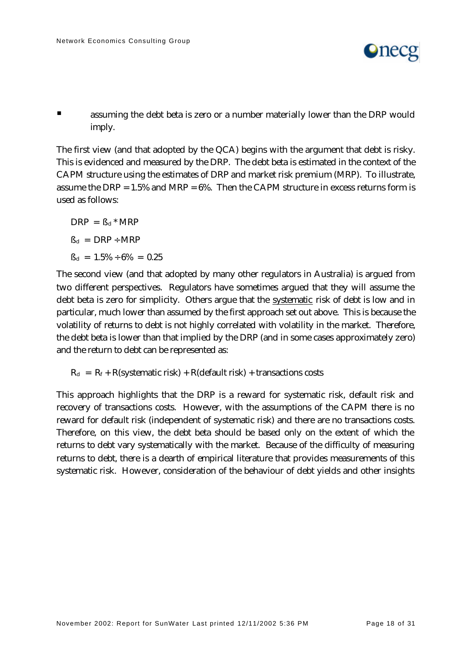

ß assuming the debt beta is zero or a number materially lower than the DRP would imply.

The first view (and that adopted by the QCA) begins with the argument that debt is risky. This is evidenced and measured by the DRP. The debt beta is estimated in the context of the CAPM structure using the estimates of DRP and market risk premium (MRP). To illustrate, assume the DRP =  $1.5\%$  and MRP =  $6\%$ . Then the CAPM structure in excess returns form is used as follows:

 $DRP = \beta_d * MRP$  $B_d = DRP \div MRP$  $B_d = 1.5\% \div 6\% = 0.25$ 

The second view (and that adopted by many other regulators in Australia) is argued from two different perspectives. Regulators have sometimes argued that they will assume the debt beta is zero for simplicity. Others argue that the systematic risk of debt is low and in particular, much lower than assumed by the first approach set out above. This is because the volatility of returns to debt is not highly correlated with volatility in the market. Therefore, the debt beta is lower than that implied by the DRP (and in some cases approximately zero) and the return to debt can be represented as:

 $R_d = R_f + R$ (systematic risk) + R(default risk) + transactions costs

This approach highlights that the DRP is a reward for systematic risk, default risk and recovery of transactions costs. However, with the assumptions of the CAPM there is no reward for default risk (independent of systematic risk) and there are no transactions costs. Therefore, on this view, the debt beta should be based only on the extent of which the returns to debt vary systematically with the market. Because of the difficulty of measuring returns to debt, there is a dearth of empirical literature that provides measurements of this systematic risk. However, consideration of the behaviour of debt yields and other insights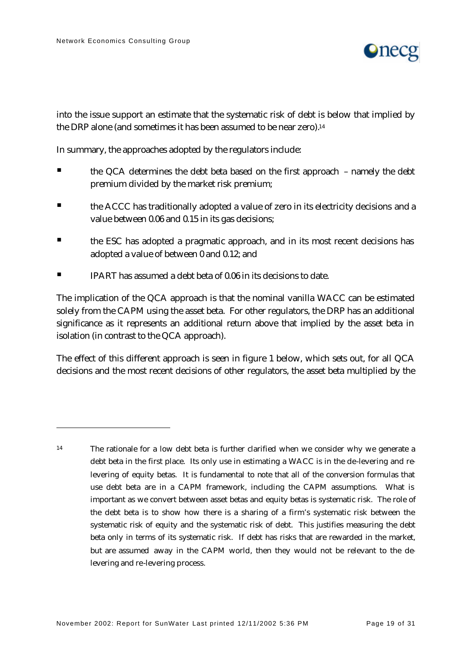$\overline{a}$ 



into the issue support an estimate that the systematic risk of debt is below that implied by the DRP alone (and sometimes it has been assumed to be near zero).<sup>14</sup>

In summary, the approaches adopted by the regulators include:

- ß the QCA determines the debt beta based on the first approach namely the debt premium divided by the market risk premium;
- **Example ACCC** has traditionally adopted a value of zero in its electricity decisions and a value between 0.06 and 0.15 in its gas decisions;
- ß the ESC has adopted a pragmatic approach, and in its most recent decisions has adopted a value of between 0 and 0.12; and
- $\blacksquare$  IPART has assumed a debt beta of 0.06 in its decisions to date.

The implication of the QCA approach is that the nominal vanilla WACC can be estimated solely from the CAPM using the asset beta. For other regulators, the DRP has an additional significance as it represents an additional return above that implied by the asset beta in isolation (in contrast to the QCA approach).

The effect of this different approach is seen in figure 1 below, which sets out, for all QCA decisions and the most recent decisions of other regulators, the asset beta multiplied by the

<sup>14</sup> The rationale for a low debt beta is further clarified when we consider why we generate a debt beta in the first place. Its only use in estimating a WACC is in the de-levering and relevering of equity betas. It is fundamental to note that all of the conversion formulas that use debt beta are in a CAPM framework, including the CAPM assumptions. What is important as we convert between asset betas and equity betas is systematic risk. The role of the debt beta is to show how there is a sharing of a firm's systematic risk between the systematic risk of equity and the systematic risk of debt. This justifies measuring the debt beta only in terms of its systematic risk. If debt has risks that are rewarded in the market, but are assumed away in the CAPM world, then they would not be relevant to the delevering and re-levering process.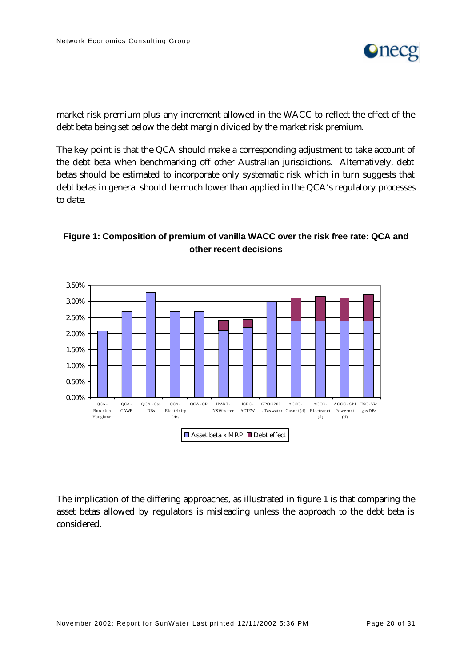

market risk premium plus any increment allowed in the WACC to reflect the effect of the debt beta being set below the debt margin divided by the market risk premium.

The key point is that the QCA should make a corresponding adjustment to take account of the debt beta when benchmarking off other Australian jurisdictions. Alternatively, debt betas should be estimated to incorporate only systematic risk which in turn suggests that debt betas in general should be much lower than applied in the QCA's regulatory processes to date.



### **Figure 1: Composition of premium of vanilla WACC over the risk free rate: QCA and other recent decisions**

The implication of the differing approaches, as illustrated in figure 1 is that comparing the asset betas allowed by regulators is misleading unless the approach to the debt beta is considered.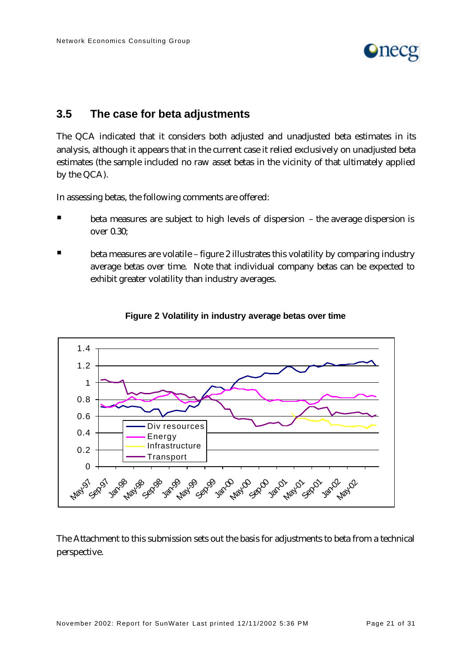

## **3.5 The case for beta adjustments**

The QCA indicated that it considers both adjusted and unadjusted beta estimates in its analysis, although it appears that in the current case it relied exclusively on unadjusted beta estimates (the sample included no raw asset betas in the vicinity of that ultimately applied by the QCA).

In assessing betas, the following comments are offered:

- beta measures are subject to high levels of dispersion the average dispersion is over 0.30;
- ß beta measures are volatile figure 2 illustrates this volatility by comparing industry average betas over time. Note that individual company betas can be expected to exhibit greater volatility than industry averages.



#### **Figure 2 Volatility in industry average betas over time**

The Attachment to this submission sets out the basis for adjustments to beta from a technical perspective.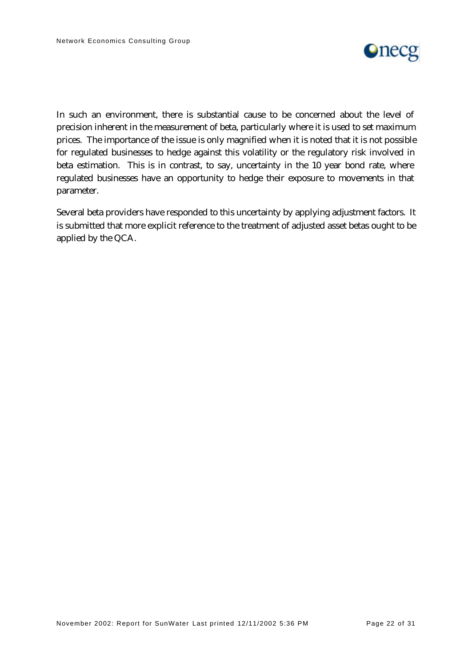

In such an environment, there is substantial cause to be concerned about the level of precision inherent in the measurement of beta, particularly where it is used to set maximum prices. The importance of the issue is only magnified when it is noted that it is not possible for regulated businesses to hedge against this volatility or the regulatory risk involved in beta estimation. This is in contrast, to say, uncertainty in the 10 year bond rate, where regulated businesses have an opportunity to hedge their exposure to movements in that parameter.

Several beta providers have responded to this uncertainty by applying adjustment factors. It is submitted that more explicit reference to the treatment of adjusted asset betas ought to be applied by the QCA.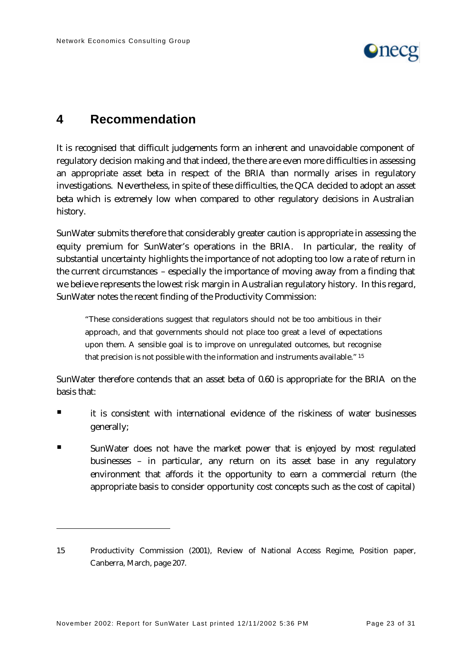

# **4 Recommendation**

It is recognised that difficult judgements form an inherent and unavoidable component of regulatory decision making and that indeed, the there are even more difficulties in assessing an appropriate asset beta in respect of the BRIA than normally arises in regulatory investigations. Nevertheless, in spite of these difficulties, the QCA decided to adopt an asset beta which is extremely low when compared to other regulatory decisions in Australian history.

SunWater submits therefore that considerably greater caution is appropriate in assessing the equity premium for SunWater's operations in the BRIA. In particular, the reality of substantial uncertainty highlights the importance of not adopting too low a rate of return in the current circumstances – especially the importance of moving away from a finding that we believe represents the lowest risk margin in Australian regulatory history. In this regard, SunWater notes the recent finding of the Productivity Commission:

"These considerations suggest that regulators should not be too ambitious in their approach, and that governments should not place too great a level of expectations upon them. A sensible goal is to improve on unregulated outcomes, but recognise that precision is not possible with the information and instruments available." <sup>15</sup>

SunWater therefore contends that an asset beta of 0.60 is appropriate for the BRIA on the basis that:

- $\blacksquare$  it is consistent with international evidence of the riskiness of water businesses generally;
- ß SunWater does not have the market power that is enjoyed by most regulated businesses – in particular, any return on its asset base in any regulatory environment that affords it the opportunity to earn a commercial return (the appropriate basis to consider opportunity cost concepts such as the cost of capital)

<sup>15</sup> Productivity Commission (2001), Review of National Access Regime, Position paper, Canberra, March, page 207.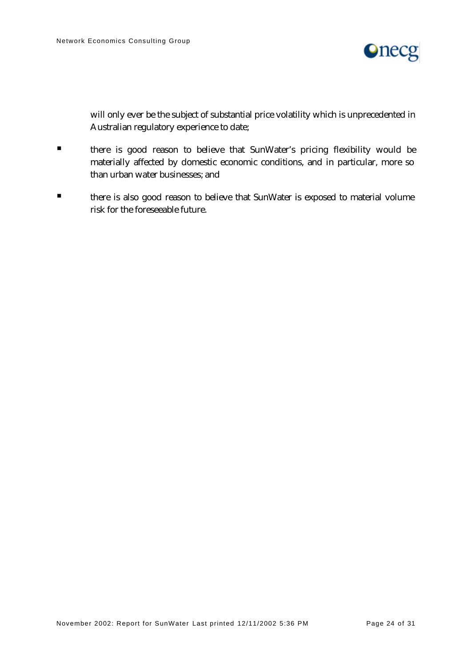

will only ever be the subject of substantial price volatility which is unprecedented in Australian regulatory experience to date;

- **In there is good reason to believe that SunWater's pricing flexibility would be** materially affected by domestic economic conditions, and in particular, more so than urban water businesses; and
- **■** there is also good reason to believe that SunWater is exposed to material volume risk for the foreseeable future.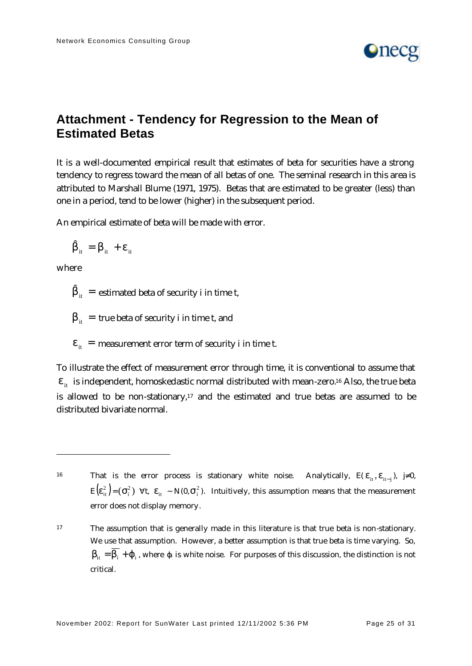

# **Attachment - Tendency for Regression to the Mean of Estimated Betas**

It is a well-documented empirical result that estimates of beta for securities have a strong tendency to regress toward the mean of all betas of one. The seminal research in this area is attributed to Marshall Blume (1971, 1975). Betas that are estimated to be greater (less) than one in a period, tend to be lower (higher) in the subsequent period.

An empirical estimate of beta will be made with error.

$$
\hat{\beta}_{it} = \beta_{it} + \varepsilon_{it}
$$

where

 $\overline{a}$ 

 $\hat{\beta}_{it}^{\phantom{\dag}}\,=\,\,$ estimated beta of security i in time t,

 $\beta_{it}$  = true beta of security i in time t, and

 $\varepsilon_{it}$  = measurement error term of security i in time t.

To illustrate the effect of measurement error through time, it is conventional to assume that  $\epsilon_{\rm it}$  is independent, homoskedastic normal distributed with mean-zero.<sup>16</sup> Also, the true beta is allowed to be non-stationary, $17$  and the estimated and true betas are assumed to be distributed bivariate normal.

That is the error process is stationary white noise. Analytically,  $E(\varepsilon_{it}, \varepsilon_{it-j})$ ,  $j\neq 0$ ,  $E(E_{it}^2) = (\sigma_i^2)$   $\forall t$ ,  $\varepsilon_{it} \sim N(0, \sigma_i^2)$ . Intuitively, this assumption means that the measurement error does not display memory.

<sup>17</sup> The assumption that is generally made in this literature is that true beta is non-stationary. We use that assumption. However, a better assumption is that true beta is time varying. So,  $\beta_{it} = \beta_i + \varphi_i$ , where  $\varphi_i$  is white noise. For purposes of this discussion, the distinction is not critical.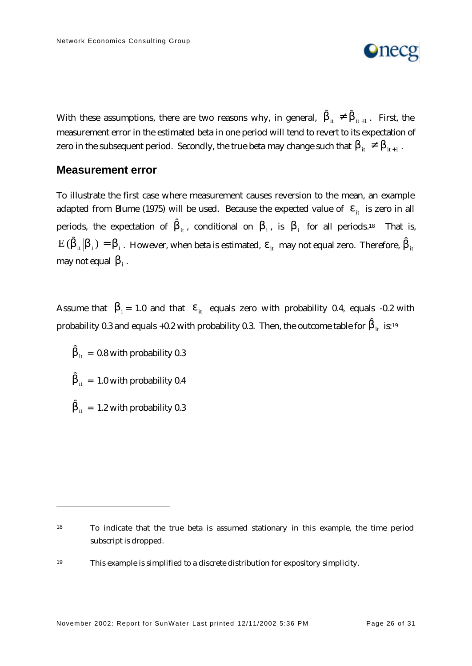

With these assumptions, there are two reasons why, in general,  $\hat{\beta}_{_{\textup{it}}} \neq \hat{\beta}_{_{\textup{it}+1}}$  . First, the measurement error in the estimated beta in one period will tend to revert to its expectation of zero in the subsequent period. Secondly, the true beta may change such that  $\beta_{_{\textup{it}}} \neq \beta_{_{\textup{it}+1}}$  .

#### **Measurement error**

To illustrate the first case where measurement causes reversion to the mean, an example adapted from Blume (1975) will be used. Because the expected value of  $\epsilon_{it}$  is zero in all periods, the expectation of  $\hat{\beta}_{i\text{t}}$ , conditional on  $\beta_{i}$ , is  $\beta_{i}$  for all periods.18 That is,  $E\,( \hat\beta_{\rm it} \, \big\vert\beta_{\rm i}^{}\, )=\beta_{\rm i}^{}\,$ . However, when beta is estimated,  $\epsilon_{\rm it}^{}\,$  may not equal zero. Therefore,  $\hat\beta_{\rm it}^{}\,$ may not equal  $\,\beta_{\mathrm{i}}^{\vphantom{\dag}}$  .

Assume that  $\beta_i = 1.0$  and that  $\epsilon_{i}$  equals zero with probability 0.4, equals -0.2 with probability 0.3 and equals +0.2 with probability 0.3. Then, the outcome table for  $\hat{\beta}_{\text{it}}$  is:19

 $\hat{\beta}_{it}$  = 0.8 with probability 0.3  $\hat{\beta}_{it}$  = 1.0 with probability 0.4  $\hat{\beta}_{it}$  = 1.2 with probability 0.3

<sup>18</sup> To indicate that the true beta is assumed stationary in this example, the time period subscript is dropped.

<sup>19</sup> This example is simplified to a discrete distribution for expository simplicity.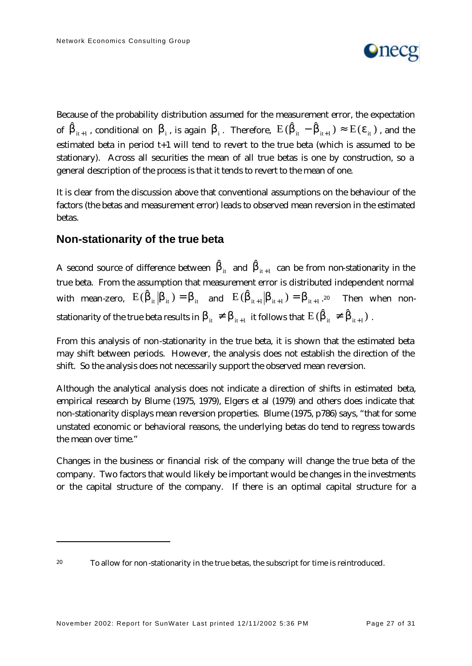

Because of the probability distribution assumed for the measurement error, the expectation of  $\hat{\beta}_{i_{t+1}}$ , conditional on  $\beta_i$ , is again  $\beta_i$ . Therefore,  $E(\hat{\beta}_{i_t} - \hat{\beta}_{i_{t+1}}) \approx E(\epsilon_{i_t})$ , and the estimated beta in period t+1 will tend to revert to the true beta (which is assumed to be stationary). Across all securities the mean of all true betas is one by construction, so a general description of the process is that it tends to revert to the mean of one.

It is clear from the discussion above that conventional assumptions on the behaviour of the factors (the betas and measurement error) leads to observed mean reversion in the estimated betas.

## **Non-stationarity of the true beta**

A second source of difference between  $\hat{\beta}_{it}$  and  $\hat{\beta}_{it+1}$  can be from non-stationarity in the true beta. From the assumption that measurement error is distributed independent normal with mean-zero,  $E(\hat{\beta}_{it}|\beta_{it}) = \beta_{it}$  and  $E(\hat{\beta}_{it+1}|\beta_{it+1}) = \beta_{it+1}.^{20}$  Then when nonstationarity of the true beta results in  $\beta_{it} \neq \beta_{it+1}$  it follows that  $\mathrm{E}\,(\hat{\beta}_{it} \neq \hat{\beta}_{it+1})$  .

From this analysis of non-stationarity in the true beta, it is shown that the estimated beta may shift between periods. However, the analysis does not establish the direction of the shift. So the analysis does not necessarily support the observed mean reversion.

Although the analytical analysis does not indicate a direction of shifts in estimated beta, empirical research by Blume (1975, 1979), Elgers et al (1979) and others does indicate that non-stationarity displays mean reversion properties. Blume (1975, p786) says, "that for some unstated economic or behavioral reasons, the underlying betas do tend to regress towards the mean over time."

Changes in the business or financial risk of the company will change the true beta of the company. Two factors that would likely be important would be changes in the investments or the capital structure of the company. If there is an optimal capital structure for a

<sup>&</sup>lt;sup>20</sup> To allow for non-stationarity in the true betas, the subscript for time is reintroduced.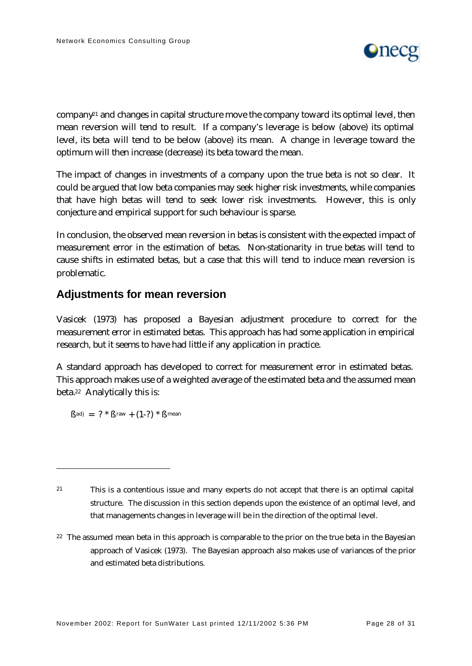

company<sup> $21$ </sup> and changes in capital structure move the company toward its optimal level, then mean reversion will tend to result. If a company's leverage is below (above) its optimal level, its beta will tend to be below (above) its mean. A change in leverage toward the optimum will then increase (decrease) its beta toward the mean.

The impact of changes in investments of a company upon the true beta is not so clear. It could be argued that low beta companies may seek higher risk investments, while companies that have high betas will tend to seek lower risk investments. However, this is only conjecture and empirical support for such behaviour is sparse.

In conclusion, the observed mean reversion in betas is consistent with the expected impact of measurement error in the estimation of betas. Non-stationarity in true betas will tend to cause shifts in estimated betas, but a case that this will tend to induce mean reversion is problematic.

## **Adjustments for mean reversion**

Vasicek (1973) has proposed a Bayesian adjustment procedure to correct for the measurement error in estimated betas. This approach has had some application in empirical research, but it seems to have had little if any application in practice.

A standard approach has developed to correct for measurement error in estimated betas. This approach makes use of a weighted average of the estimated beta and the assumed mean beta.22 Analytically this is:

 $\beta$ adj = ? \*  $\beta$ raw + (1-?) \*  $\beta$ mean

 $\overline{a}$ 

 $22$  The assumed mean beta in this approach is comparable to the prior on the true beta in the Bayesian approach of Vasicek (1973). The Bayesian approach also makes use of variances of the prior and estimated beta distributions.

<sup>21</sup> This is a contentious issue and many experts do not accept that there is an optimal capital structure. The discussion in this section depends upon the existence of an optimal level, and that managements changes in leverage will be in the direction of the optimal level.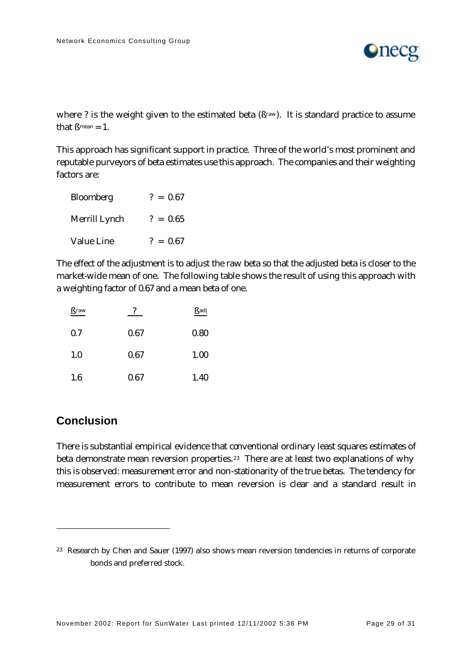

where ? is the weight given to the estimated beta  $(\beta<sup>raw</sup>)$ . It is standard practice to assume that  $\beta$ <sup>mean</sup> = 1.

This approach has significant support in practice. Three of the world's most prominent and reputable purveyors of beta estimates use this approach. The companies and their weighting factors are:

| Bloomberg         | $? = 0.67$ |
|-------------------|------------|
| Merrill Lynch     | $? = 0.65$ |
| <b>Value Line</b> | $? = 0.67$ |

The effect of the adjustment is to adjust the raw beta so that the adjusted beta is closer to the market-wide mean of one. The following table shows the result of using this approach with a weighting factor of 0.67 and a mean beta of one.

| <b>Braw</b> |      | Badj |
|-------------|------|------|
| 0.7         | 0.67 | 0.80 |
| 1.0         | 0.67 | 1.00 |
| 1.6         | 0.67 | 1.40 |

## **Conclusion**

 $\overline{a}$ 

There is substantial empirical evidence that conventional ordinary least squares estimates of beta demonstrate mean reversion properties.<sup>23</sup> There are at least two explanations of why this is observed: measurement error and non-stationarity of the true betas. The tendency for measurement errors to contribute to mean reversion is clear and a standard result in

<sup>23</sup> Research by Chen and Sauer (1997) also shows mean reversion tendencies in returns of corporate bonds and preferred stock.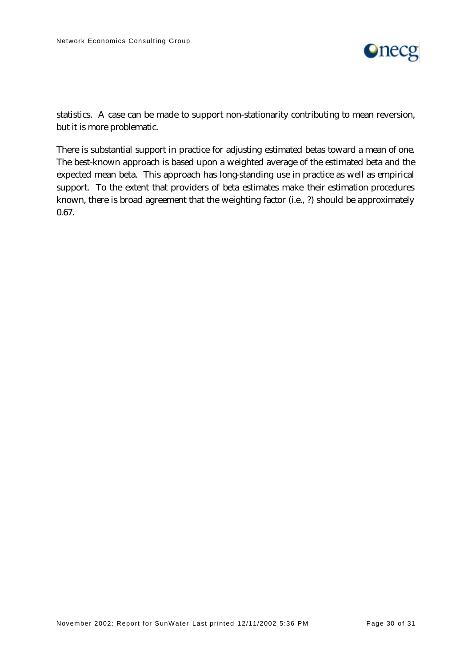

statistics. A case can be made to support non-stationarity contributing to mean reversion, but it is more problematic.

There is substantial support in practice for adjusting estimated betas toward a mean of one. The best-known approach is based upon a weighted average of the estimated beta and the expected mean beta. This approach has long-standing use in practice as well as empirical support. To the extent that providers of beta estimates make their estimation procedures known, there is broad agreement that the weighting factor (i.e., ?) should be approximately 0.67.